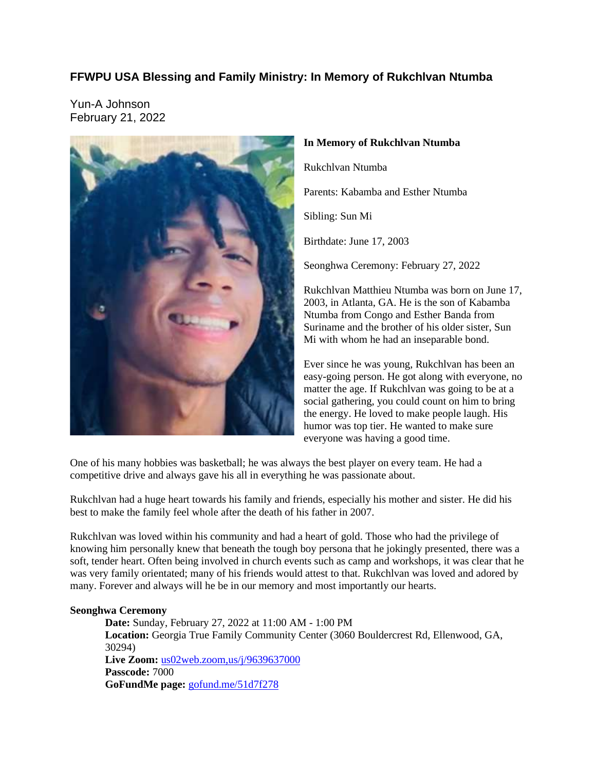# **FFWPU USA Blessing and Family Ministry: In Memory of Rukchlvan Ntumba**

Yun-A Johnson February 21, 2022



# **In Memory of Rukchlvan Ntumba**

Rukchlvan Ntumba

Parents: Kabamba and Esther Ntumba

Sibling: Sun Mi

Birthdate: June 17, 2003

Seonghwa Ceremony: February 27, 2022

Rukchlvan Matthieu Ntumba was born on June 17, 2003, in Atlanta, GA. He is the son of Kabamba Ntumba from Congo and Esther Banda from Suriname and the brother of his older sister, Sun Mi with whom he had an inseparable bond.

Ever since he was young, Rukchlvan has been an easy-going person. He got along with everyone, no matter the age. If Rukchlvan was going to be at a social gathering, you could count on him to bring the energy. He loved to make people laugh. His humor was top tier. He wanted to make sure everyone was having a good time.

One of his many hobbies was basketball; he was always the best player on every team. He had a competitive drive and always gave his all in everything he was passionate about.

Rukchlvan had a huge heart towards his family and friends, especially his mother and sister. He did his best to make the family feel whole after the death of his father in 2007.

Rukchlvan was loved within his community and had a heart of gold. Those who had the privilege of knowing him personally knew that beneath the tough boy persona that he jokingly presented, there was a soft, tender heart. Often being involved in church events such as camp and workshops, it was clear that he was very family orientated; many of his friends would attest to that. Rukchlvan was loved and adored by many. Forever and always will he be in our memory and most importantly our hearts.

# **Seonghwa Ceremony**

**Date:** Sunday, February 27, 2022 at 11:00 AM - 1:00 PM **Location:** Georgia True Family Community Center (3060 Bouldercrest Rd, Ellenwood, GA, 30294) **Live Zoom:** us02web.zoom,us/j/9639637000 **Passcode:** 7000 **GoFundMe page:** gofund.me/51d7f278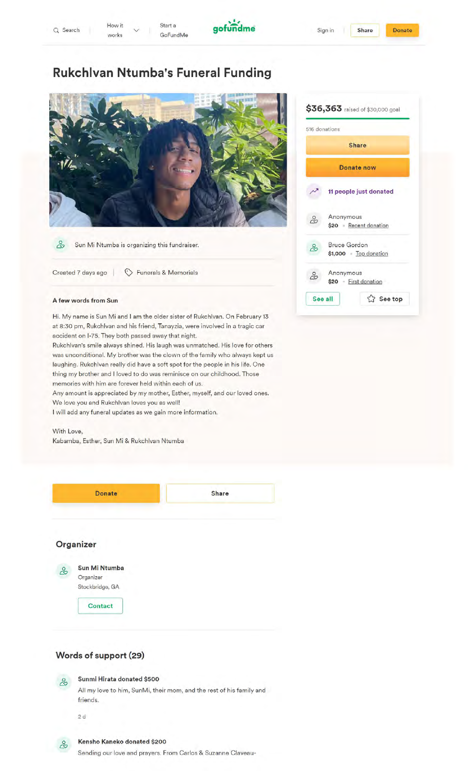

# **Rukchlvan Ntumba's Funeral Funding**

Start a GoFundMe



 $8<sup>o</sup>$ Sun Mi Ntumba is organizing this fundraiser.

Created 7 days ago  $\bigcirc$  Funerals & Memorials

### **A few words from Sun**

Hi. My name is Sun Mi and I am the older sister of Rukchlvan. On February 13 at 8:30 pm, Rukchlvan and his friend, Tanayzia, were involved in a tragic car accident on I-75. They both passed away that night.

Rukchlvan's smile always shined. His laugh was unmatched. His love for others was unconditional. My brother was the clown of the family who always kept us laughing. Rukchlvan really did have a soft spot for the people in his life. One thing my brother and I loved to do was reminisce on our childhood. Those memories with him are forever held within each of us.

Any amount is appreciated by my mother, Esther, myself, and our loved ones. We love you and Rukchlvan loves you as well!

I will add any funeral updates as we gain more information.

With Love, Kabamba, Esther, Sun Mi & Rukchlvan Ntumba



|    | 516 donations                               |
|----|---------------------------------------------|
|    | Share                                       |
|    | Donate now                                  |
|    | 11 people just donated                      |
| ಹಿ | Anonymous<br>\$20 Recent donation           |
| ಹಿ | <b>Bruce Gordon</b><br>\$1,000 Top donation |
| ಹಿ | Anonymous<br>\$20 - First donation          |
|    | See top<br>See all                          |